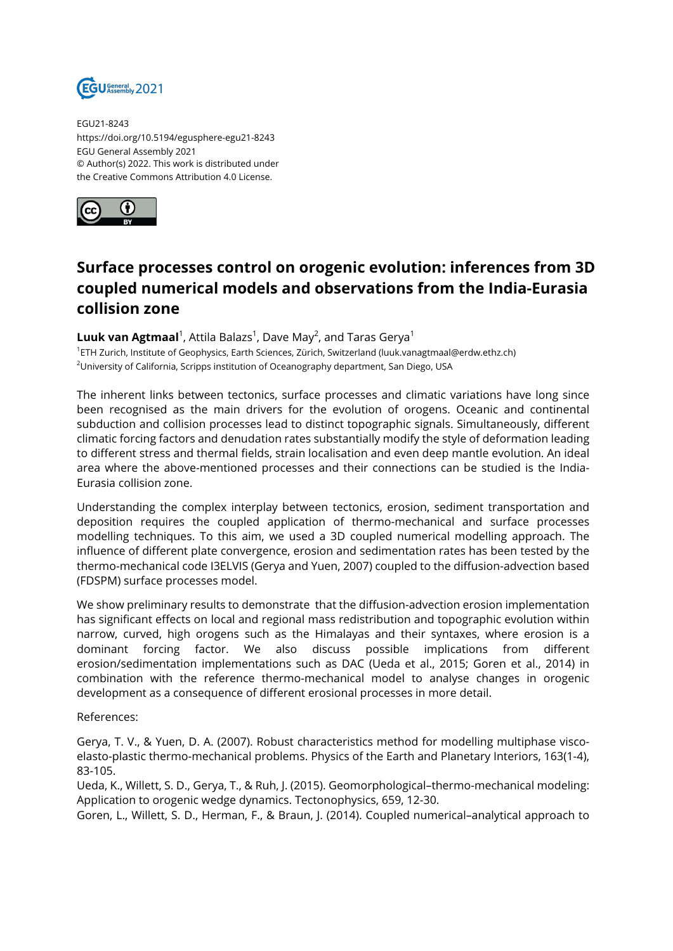

EGU21-8243 https://doi.org/10.5194/egusphere-egu21-8243 EGU General Assembly 2021 © Author(s) 2022. This work is distributed under the Creative Commons Attribution 4.0 License.



## **Surface processes control on orogenic evolution: inferences from 3D coupled numerical models and observations from the India-Eurasia collision zone**

 ${\sf Luuk}$   ${\sf van}\, {\sf Agtmaal}^1$ , Attila Balazs $^1$ , Dave May $^2$ , and Taras Gerya $^1$ 

1 ETH Zurich, Institute of Geophysics, Earth Sciences, Zürich, Switzerland (luuk.vanagtmaal@erdw.ethz.ch) <sup>2</sup>University of California, Scripps institution of Oceanography department, San Diego, USA

The inherent links between tectonics, surface processes and climatic variations have long since been recognised as the main drivers for the evolution of orogens. Oceanic and continental subduction and collision processes lead to distinct topographic signals. Simultaneously, different climatic forcing factors and denudation rates substantially modify the style of deformation leading to different stress and thermal fields, strain localisation and even deep mantle evolution. An ideal area where the above-mentioned processes and their connections can be studied is the India-Eurasia collision zone.

Understanding the complex interplay between tectonics, erosion, sediment transportation and deposition requires the coupled application of thermo-mechanical and surface processes modelling techniques. To this aim, we used a 3D coupled numerical modelling approach. The influence of different plate convergence, erosion and sedimentation rates has been tested by the thermo-mechanical code I3ELVIS (Gerya and Yuen, 2007) coupled to the diffusion-advection based (FDSPM) surface processes model.

We show preliminary results to demonstrate that the diffusion-advection erosion implementation has significant effects on local and regional mass redistribution and topographic evolution within narrow, curved, high orogens such as the Himalayas and their syntaxes, where erosion is a dominant forcing factor. We also discuss possible implications from different erosion/sedimentation implementations such as DAC (Ueda et al., 2015; Goren et al., 2014) in combination with the reference thermo-mechanical model to analyse changes in orogenic development as a consequence of different erosional processes in more detail.

References:

Gerya, T. V., & Yuen, D. A. (2007). Robust characteristics method for modelling multiphase viscoelasto-plastic thermo-mechanical problems. Physics of the Earth and Planetary Interiors, 163(1-4), 83-105.

Ueda, K., Willett, S. D., Gerya, T., & Ruh, J. (2015). Geomorphological–thermo-mechanical modeling: Application to orogenic wedge dynamics. Tectonophysics, 659, 12-30.

Goren, L., Willett, S. D., Herman, F., & Braun, J. (2014). Coupled numerical–analytical approach to